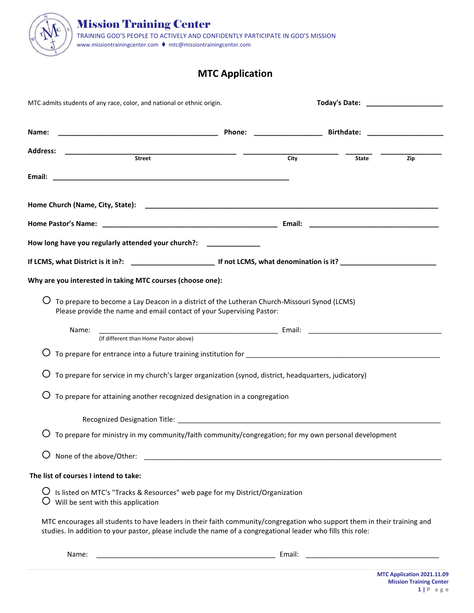

## **MTC Application**

| MTC admits students of any race, color, and national or ethnic origin.                                                                                                                                                                   |  |                   |       |     |
|------------------------------------------------------------------------------------------------------------------------------------------------------------------------------------------------------------------------------------------|--|-------------------|-------|-----|
| Name:                                                                                                                                                                                                                                    |  |                   |       |     |
|                                                                                                                                                                                                                                          |  |                   |       |     |
|                                                                                                                                                                                                                                          |  | $\overline{City}$ | State | Zip |
|                                                                                                                                                                                                                                          |  |                   |       |     |
|                                                                                                                                                                                                                                          |  |                   |       |     |
|                                                                                                                                                                                                                                          |  |                   |       |     |
| How long have you regularly attended your church?: ______________                                                                                                                                                                        |  |                   |       |     |
|                                                                                                                                                                                                                                          |  |                   |       |     |
| Why are you interested in taking MTC courses (choose one):                                                                                                                                                                               |  |                   |       |     |
| To prepare to become a Lay Deacon in a district of the Lutheran Church-Missouri Synod (LCMS)<br>Please provide the name and email contact of your Supervising Pastor:                                                                    |  |                   |       |     |
| Name:<br>(If different than Home Pastor above)                                                                                                                                                                                           |  |                   |       |     |
| To prepare for entrance into a future training institution for [14] The content of the content of the content of the content of the content of the content of the content of the content of the content of the content of the            |  |                   |       |     |
| To prepare for service in my church's larger organization (synod, district, headquarters, judicatory)                                                                                                                                    |  |                   |       |     |
| To prepare for attaining another recognized designation in a congregation                                                                                                                                                                |  |                   |       |     |
|                                                                                                                                                                                                                                          |  |                   |       |     |
| To prepare for ministry in my community/faith community/congregation; for my own personal development                                                                                                                                    |  |                   |       |     |
| None of the above/Other:                                                                                                                                                                                                                 |  |                   |       |     |
| The list of courses I intend to take:                                                                                                                                                                                                    |  |                   |       |     |
| Is listed on MTC's "Tracks & Resources" web page for my District/Organization<br>Will be sent with this application                                                                                                                      |  |                   |       |     |
| MTC encourages all students to have leaders in their faith community/congregation who support them in their training and<br>studies. In addition to your pastor, please include the name of a congregational leader who fills this role: |  |                   |       |     |
| Name:                                                                                                                                                                                                                                    |  | Email:            |       |     |